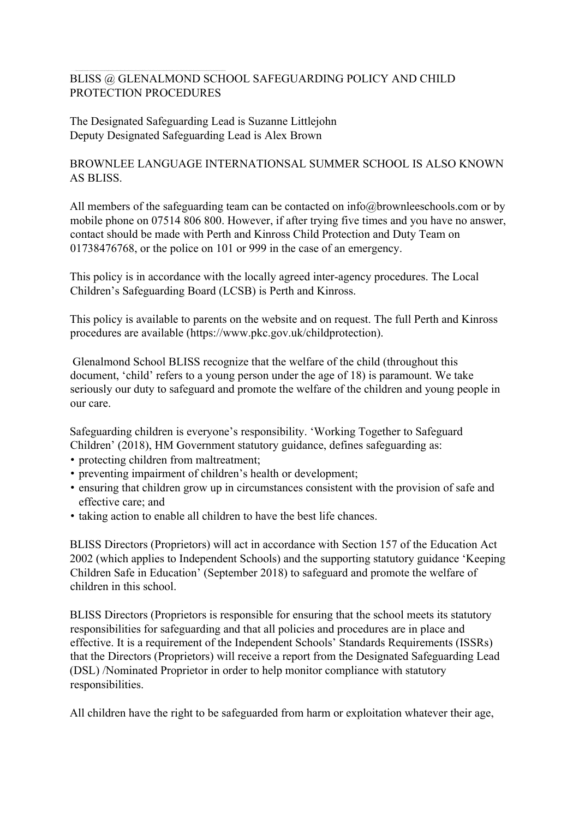#### committed to a performant and any design and a performance in the product of the performance of the design and a performance in the content of the constitution of the constitution of the constitution of the constitution of BLISS @ GLENALMOND SCHOOL SAFEGUARDING POLICY AND CHILD PROTECTION PROCEDURES

The Designated Safeguarding Lead is Suzanne Littlejohn Deputy Designated Safeguarding Lead is Alex Brown

# BROWNLEE LANGUAGE INTERNATIONSAL SUMMER SCHOOL IS ALSO KNOWN AS BLISS.

All members of the safeguarding team can be contacted on  $info@brownleeschools.com$  or by mobile phone on 07514 806 800. However, if after trying five times and you have no answer, contact should be made with Perth and Kinross Child Protection and Duty Team on 01738476768, or the police on 101 or 999 in the case of an emergency.

This policy is in accordance with the locally agreed inter-agency procedures. The Local Children's Safeguarding Board (LCSB) is Perth and Kinross.

This policy is available to parents on the website and on request. The full Perth and Kinross procedures are available (https://www.pkc.gov.uk/childprotection).

Glenalmond School BLISS recognize that the welfare of the child (throughout this document, 'child' refers to a young person under the age of 18) is paramount. We take seriously our duty to safeguard and promote the welfare of the children and young people in our care.

Safeguarding children is everyone's responsibility. 'Working Together to Safeguard Children' (2018), HM Government statutory guidance, defines safeguarding as:

- protecting children from maltreatment;
- preventing impairment of children's health or development;
- ensuring that children grow up in circumstances consistent with the provision of safe and effective care; and
- taking action to enable all children to have the best life chances.

BLISS Directors (Proprietors) will act in accordance with Section 157 of the Education Act 2002 (which applies to Independent Schools) and the supporting statutory guidance 'Keeping Children Safe in Education' (September 2018) to safeguard and promote the welfare of children in this school.

BLISS Directors (Proprietors is responsible for ensuring that the school meets its statutory responsibilities for safeguarding and that all policies and procedures are in place and effective. It is a requirement of the Independent Schools' Standards Requirements (ISSRs) that the Directors (Proprietors) will receive a report from the Designated Safeguarding Lead (DSL) /Nominated Proprietor in order to help monitor compliance with statutory responsibilities.

All children have the right to be safeguarded from harm or exploitation whatever their age,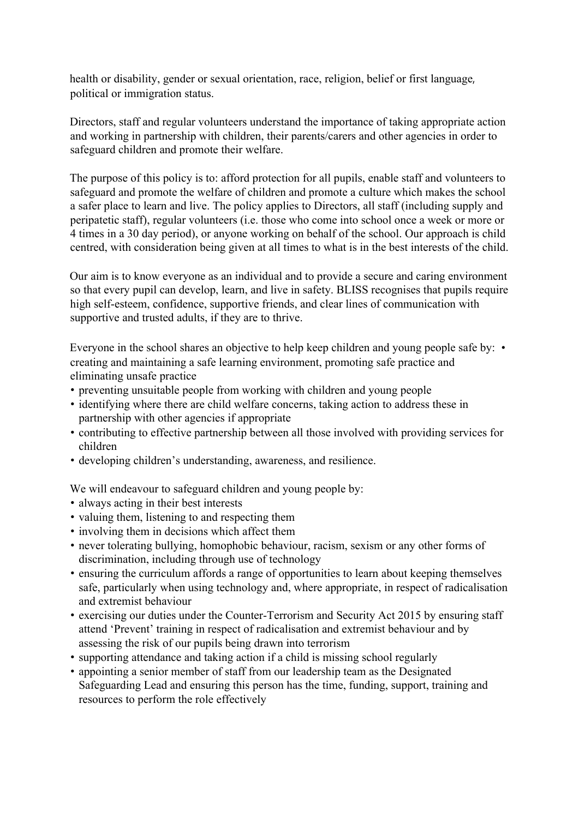health or disability, gender or sexual orientation, race, religion, belief or first language, political or immigration status.

Directors, staff and regular volunteers understand the importance of taking appropriate action and working in partnership with children, their parents/carers and other agencies in order to safeguard children and promote their welfare.

The purpose of this policy is to: afford protection for all pupils, enable staff and volunteers to safeguard and promote the welfare of children and promote a culture which makes the school a safer place to learn and live. The policy applies to Directors, all staff (including supply and peripatetic staff), regular volunteers (i.e. those who come into school once a week or more or 4 times in a 30 day period), or anyone working on behalf of the school. Our approach is child centred, with consideration being given at all times to what is in the best interests of the child.

Our aim is to know everyone as an individual and to provide a secure and caring environment so that every pupil can develop, learn, and live in safety. BLISS recognises that pupils require high self-esteem, confidence, supportive friends, and clear lines of communication with supportive and trusted adults, if they are to thrive.

Everyone in the school shares an objective to help keep children and young people safe by:  $\cdot$ creating and maintaining a safe learning environment, promoting safe practice and eliminating unsafe practice

- preventing unsuitable people from working with children and young people
- identifying where there are child welfare concerns, taking action to address these in partnership with other agencies if appropriate
- contributing to effective partnership between all those involved with providing services for children
- developing children's understanding, awareness, and resilience.

We will endeavour to safeguard children and young people by:

- always acting in their best interests
- valuing them, listening to and respecting them
- involving them in decisions which affect them
- never tolerating bullying, homophobic behaviour, racism, sexism or any other forms of discrimination, including through use of technology
- ensuring the curriculum affords a range of opportunities to learn about keeping themselves safe, particularly when using technology and, where appropriate, in respect of radicalisation and extremist behaviour
- exercising our duties under the Counter-Terrorism and Security Act 2015 by ensuring staff attend 'Prevent' training in respect of radicalisation and extremist behaviour and by assessing the risk of our pupils being drawn into terrorism
- supporting attendance and taking action if a child is missing school regularly
- appointing a senior member of staff from our leadership team as the Designated Safeguarding Lead and ensuring this person has the time, funding, support, training and resources to perform the role effectively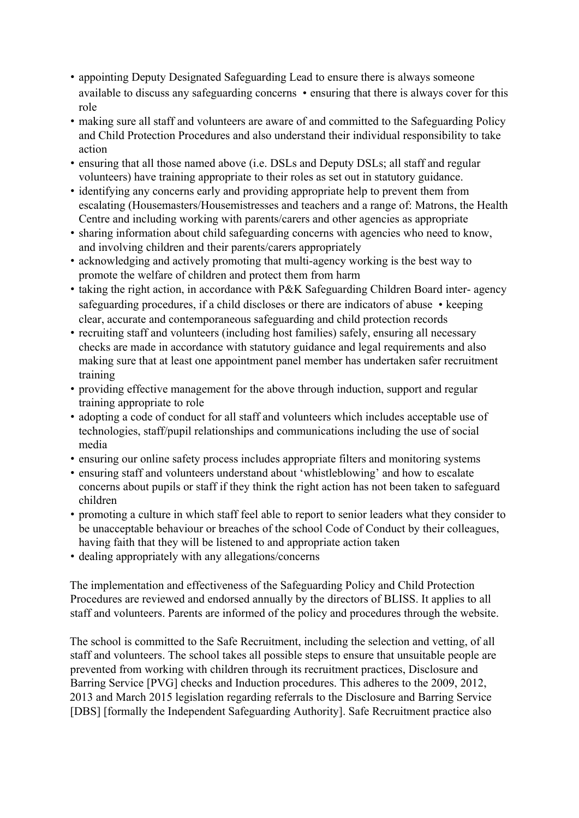- appointing Deputy Designated Safeguarding Lead to ensure there is always someone available to discuss any safeguarding concerns • ensuring that there is always cover for this role
- making sure all staff and volunteers are aware of and committed to the Safeguarding Policy and Child Protection Procedures and also understand their individual responsibility to take action
- ensuring that all those named above (i.e. DSLs and Deputy DSLs; all staff and regular volunteers) have training appropriate to their roles as set out in statutory guidance.
- identifying any concerns early and providing appropriate help to prevent them from escalating (Housemasters/Housemistresses and teachers and a range of: Matrons, the Health Centre and including working with parents/carers and other agencies as appropriate
- sharing information about child safeguarding concerns with agencies who need to know, and involving children and their parents/carers appropriately
- acknowledging and actively promoting that multi-agency working is the best way to promote the welfare of children and protect them from harm
- taking the right action, in accordance with P&K Safeguarding Children Board inter- agency safeguarding procedures, if a child discloses or there are indicators of abuse • keeping clear, accurate and contemporaneous safeguarding and child protection records
- recruiting staff and volunteers (including host families) safely, ensuring all necessary checks are made in accordance with statutory guidance and legal requirements and also making sure that at least one appointment panel member has undertaken safer recruitment training
- providing effective management for the above through induction, support and regular training appropriate to role
- adopting a code of conduct for all staff and volunteers which includes acceptable use of technologies, staff/pupil relationships and communications including the use of social media
- ensuring our online safety process includes appropriate filters and monitoring systems
- ensuring staff and volunteers understand about 'whistleblowing' and how to escalate concerns about pupils or staff if they think the right action has not been taken to safeguard children
- promoting a culture in which staff feel able to report to senior leaders what they consider to be unacceptable behaviour or breaches of the school Code of Conduct by their colleagues, having faith that they will be listened to and appropriate action taken
- dealing appropriately with any allegations/concerns

The implementation and effectiveness of the Safeguarding Policy and Child Protection Procedures are reviewed and endorsed annually by the directors of BLISS. It applies to all staff and volunteers. Parents are informed of the policy and procedures through the website.

The school is committed to the Safe Recruitment, including the selection and vetting, of all staff and volunteers. The school takes all possible steps to ensure that unsuitable people are prevented from working with children through its recruitment practices, Disclosure and Barring Service [PVG] checks and Induction procedures. This adheres to the 2009, 2012, 2013 and March 2015 legislation regarding referrals to the Disclosure and Barring Service [DBS] [formally the Independent Safeguarding Authority]. Safe Recruitment practice also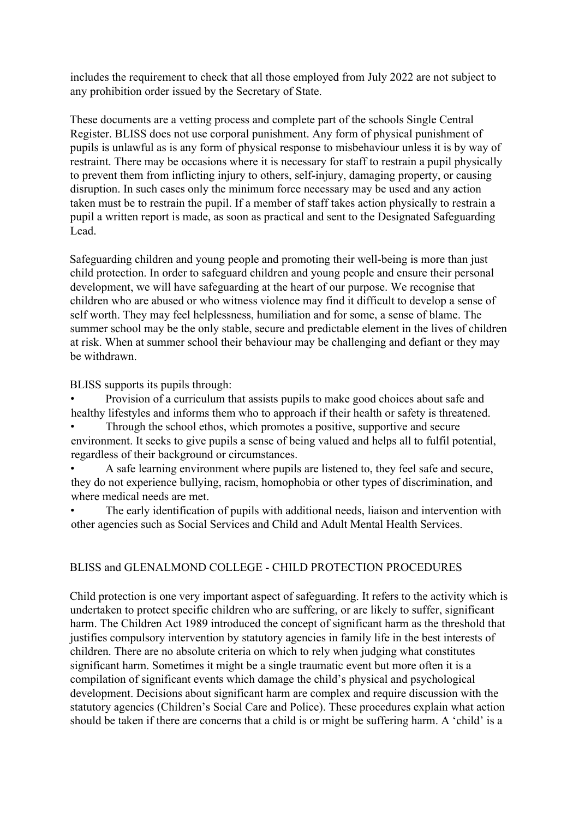includes the requirement to check that all those employed from July 2022 are not subject to any prohibition order issued by the Secretary of State.

These documents are a vetting process and complete part of the schools Single Central Register. BLISS does not use corporal punishment. Any form of physical punishment of pupils is unlawful as is any form of physical response to misbehaviour unless it is by way of restraint. There may be occasions where it is necessary for staff to restrain a pupil physically to prevent them from inflicting injury to others, self-injury, damaging property, or causing disruption. In such cases only the minimum force necessary may be used and any action taken must be to restrain the pupil. If a member of staff takes action physically to restrain a pupil a written report is made, as soon as practical and sent to the Designated Safeguarding Lead.

Safeguarding children and young people and promoting their well-being is more than just child protection. In order to safeguard children and young people and ensure their personal development, we will have safeguarding at the heart of our purpose. We recognise that children who are abused or who witness violence may find it difficult to develop a sense of self worth. They may feel helplessness, humiliation and for some, a sense of blame. The summer school may be the only stable, secure and predictable element in the lives of children at risk. When at summer school their behaviour may be challenging and defiant or they may be withdrawn.

BLISS supports its pupils through:

• Provision of a curriculum that assists pupils to make good choices about safe and healthy lifestyles and informs them who to approach if their health or safety is threatened.

Through the school ethos, which promotes a positive, supportive and secure environment. It seeks to give pupils a sense of being valued and helps all to fulfil potential, regardless of their background or circumstances.

• A safe learning environment where pupils are listened to, they feel safe and secure, they do not experience bullying, racism, homophobia or other types of discrimination, and where medical needs are met.

The early identification of pupils with additional needs, liaison and intervention with other agencies such as Social Services and Child and Adult Mental Health Services.

## BLISS and GLENALMOND COLLEGE - CHILD PROTECTION PROCEDURES

Child protection is one very important aspect of safeguarding. It refers to the activity which is undertaken to protect specific children who are suffering, or are likely to suffer, significant harm. The Children Act 1989 introduced the concept of significant harm as the threshold that justifies compulsory intervention by statutory agencies in family life in the best interests of children. There are no absolute criteria on which to rely when judging what constitutes significant harm. Sometimes it might be a single traumatic event but more often it is a compilation of significant events which damage the child's physical and psychological development. Decisions about significant harm are complex and require discussion with the statutory agencies (Children's Social Care and Police). These procedures explain what action should be taken if there are concerns that a child is or might be suffering harm. A 'child' is a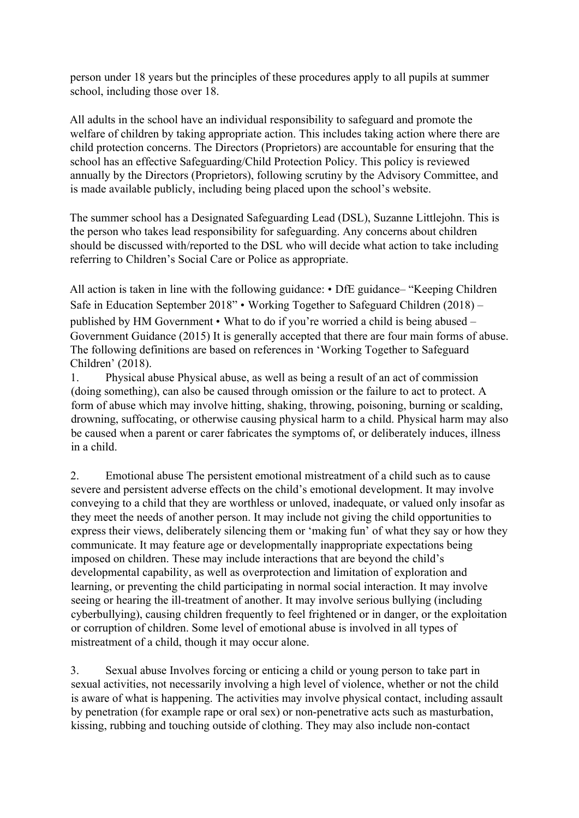person under 18 years but the principles of these procedures apply to all pupils at summer school, including those over 18.

All adults in the school have an individual responsibility to safeguard and promote the welfare of children by taking appropriate action. This includes taking action where there are child protection concerns. The Directors (Proprietors) are accountable for ensuring that the school has an effective Safeguarding/Child Protection Policy. This policy is reviewed annually by the Directors (Proprietors), following scrutiny by the Advisory Committee, and is made available publicly, including being placed upon the school's website.

The summer school has a Designated Safeguarding Lead (DSL), Suzanne Littlejohn. This is the person who takes lead responsibility for safeguarding. Any concerns about children should be discussed with/reported to the DSL who will decide what action to take including referring to Children's Social Care or Police as appropriate.

All action is taken in line with the following guidance: • DfE guidance– "Keeping Children Safe in Education September 2018" • Working Together to Safeguard Children (2018) – published by HM Government • What to do if you're worried a child is being abused – Government Guidance (2015) It is generally accepted that there are four main forms of abuse. The following definitions are based on references in 'Working Together to Safeguard Children' (2018).

1. Physical abuse Physical abuse, as well as being a result of an act of commission (doing something), can also be caused through omission or the failure to act to protect. A form of abuse which may involve hitting, shaking, throwing, poisoning, burning or scalding, drowning, suffocating, or otherwise causing physical harm to a child. Physical harm may also be caused when a parent or carer fabricates the symptoms of, or deliberately induces, illness in a child.

2. Emotional abuse The persistent emotional mistreatment of a child such as to cause severe and persistent adverse effects on the child's emotional development. It may involve conveying to a child that they are worthless or unloved, inadequate, or valued only insofar as they meet the needs of another person. It may include not giving the child opportunities to express their views, deliberately silencing them or 'making fun' of what they say or how they communicate. It may feature age or developmentally inappropriate expectations being imposed on children. These may include interactions that are beyond the child's developmental capability, as well as overprotection and limitation of exploration and learning, or preventing the child participating in normal social interaction. It may involve seeing or hearing the ill-treatment of another. It may involve serious bullying (including cyberbullying), causing children frequently to feel frightened or in danger, or the exploitation or corruption of children. Some level of emotional abuse is involved in all types of mistreatment of a child, though it may occur alone.

3. Sexual abuse Involves forcing or enticing a child or young person to take part in sexual activities, not necessarily involving a high level of violence, whether or not the child is aware of what is happening. The activities may involve physical contact, including assault by penetration (for example rape or oral sex) or non-penetrative acts such as masturbation, kissing, rubbing and touching outside of clothing. They may also include non-contact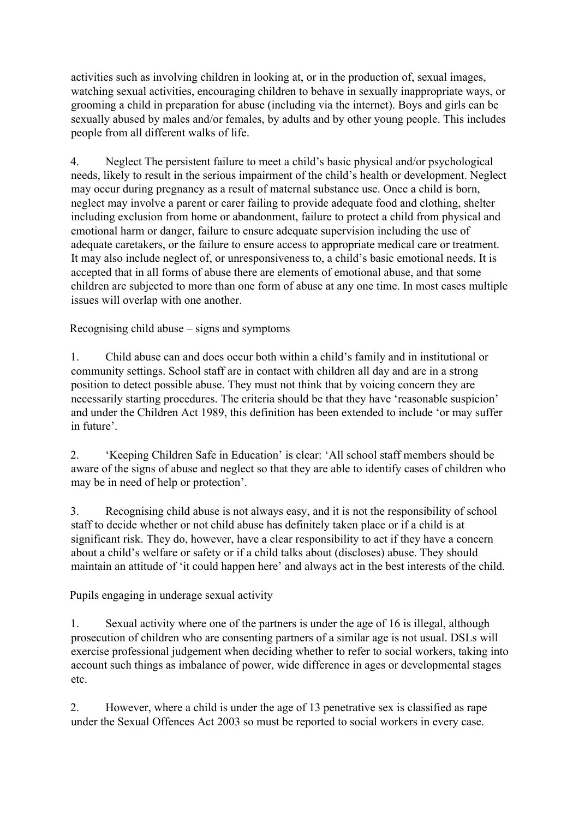activities such as involving children in looking at, or in the production of, sexual images, watching sexual activities, encouraging children to behave in sexually inappropriate ways, or grooming a child in preparation for abuse (including via the internet). Boys and girls can be sexually abused by males and/or females, by adults and by other young people. This includes people from all different walks of life.

4. Neglect The persistent failure to meet a child's basic physical and/or psychological needs, likely to result in the serious impairment of the child's health or development. Neglect may occur during pregnancy as a result of maternal substance use. Once a child is born, neglect may involve a parent or carer failing to provide adequate food and clothing, shelter including exclusion from home or abandonment, failure to protect a child from physical and emotional harm or danger, failure to ensure adequate supervision including the use of adequate caretakers, or the failure to ensure access to appropriate medical care or treatment. It may also include neglect of, or unresponsiveness to, a child's basic emotional needs. It is accepted that in all forms of abuse there are elements of emotional abuse, and that some children are subjected to more than one form of abuse at any one time. In most cases multiple issues will overlap with one another.

Recognising child abuse – signs and symptoms

1. Child abuse can and does occur both within a child's family and in institutional or community settings. School staff are in contact with children all day and are in a strong position to detect possible abuse. They must not think that by voicing concern they are necessarily starting procedures. The criteria should be that they have 'reasonable suspicion' and under the Children Act 1989, this definition has been extended to include 'or may suffer in future'.

2. 'Keeping Children Safe in Education' is clear: 'All school staff members should be aware of the signs of abuse and neglect so that they are able to identify cases of children who may be in need of help or protection'.

3. Recognising child abuse is not always easy, and it is not the responsibility of school staff to decide whether or not child abuse has definitely taken place or if a child is at significant risk. They do, however, have a clear responsibility to act if they have a concern about a child's welfare or safety or if a child talks about (discloses) abuse. They should maintain an attitude of 'it could happen here' and always act in the best interests of the child.

Pupils engaging in underage sexual activity

1. Sexual activity where one of the partners is under the age of 16 is illegal, although prosecution of children who are consenting partners of a similar age is not usual. DSLs will exercise professional judgement when deciding whether to refer to social workers, taking into account such things as imbalance of power, wide difference in ages or developmental stages etc.

2. However, where a child is under the age of 13 penetrative sex is classified as rape under the Sexual Offences Act 2003 so must be reported to social workers in every case.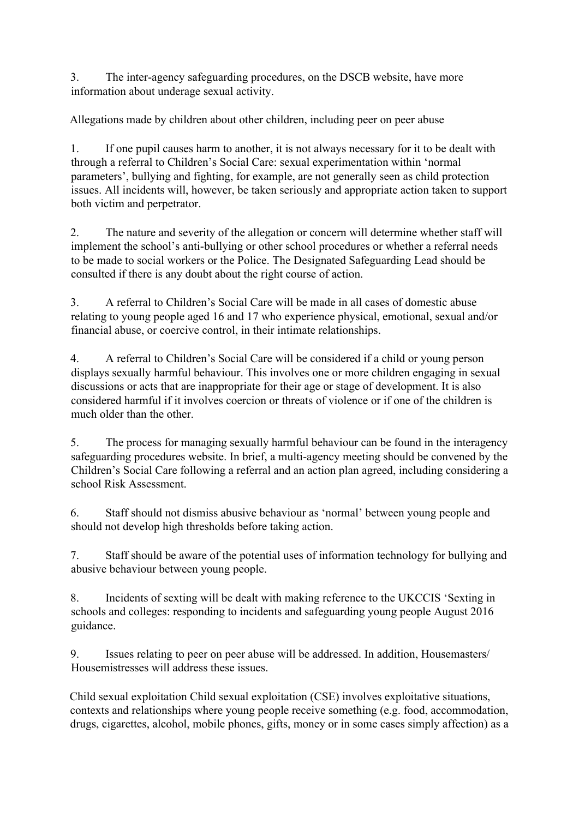3. The inter-agency safeguarding procedures, on the DSCB website, have more information about underage sexual activity.

Allegations made by children about other children, including peer on peer abuse

1. If one pupil causes harm to another, it is not always necessary for it to be dealt with through a referral to Children's Social Care: sexual experimentation within 'normal parameters', bullying and fighting, for example, are not generally seen as child protection issues. All incidents will, however, be taken seriously and appropriate action taken to support both victim and perpetrator.

2. The nature and severity of the allegation or concern will determine whether staff will implement the school's anti-bullying or other school procedures or whether a referral needs to be made to social workers or the Police. The Designated Safeguarding Lead should be consulted if there is any doubt about the right course of action.

3. A referral to Children's Social Care will be made in all cases of domestic abuse relating to young people aged 16 and 17 who experience physical, emotional, sexual and/or financial abuse, or coercive control, in their intimate relationships.

4. A referral to Children's Social Care will be considered if a child or young person displays sexually harmful behaviour. This involves one or more children engaging in sexual discussions or acts that are inappropriate for their age or stage of development. It is also considered harmful if it involves coercion or threats of violence or if one of the children is much older than the other.

5. The process for managing sexually harmful behaviour can be found in the interagency safeguarding procedures website. In brief, a multi-agency meeting should be convened by the Children's Social Care following a referral and an action plan agreed, including considering a school Risk Assessment.

6. Staff should not dismiss abusive behaviour as 'normal' between young people and should not develop high thresholds before taking action.

7. Staff should be aware of the potential uses of information technology for bullying and abusive behaviour between young people.

8. Incidents of sexting will be dealt with making reference to the UKCCIS 'Sexting in schools and colleges: responding to incidents and safeguarding young people August 2016 guidance.

9. Issues relating to peer on peer abuse will be addressed. In addition, Housemasters/ Housemistresses will address these issues.

Child sexual exploitation Child sexual exploitation (CSE) involves exploitative situations, contexts and relationships where young people receive something (e.g. food, accommodation, drugs, cigarettes, alcohol, mobile phones, gifts, money or in some cases simply affection) as a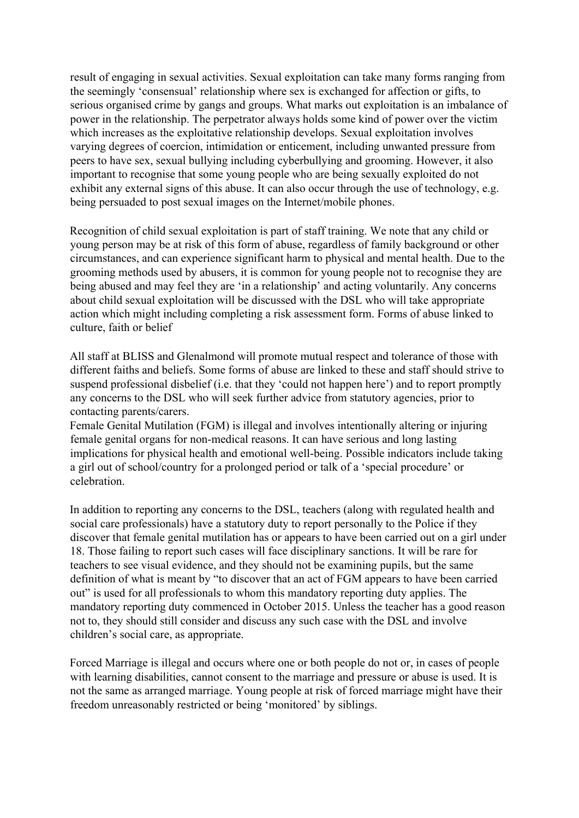result of engaging in sexual activities. Sexual exploitation can take many forms ranging from the seemingly 'consensual' relationship where sex is exchanged for affection or gifts, to serious organised crime by gangs and groups. What marks out exploitation is an imbalance of power in the relationship. The perpetrator always holds some kind of power over the victim which increases as the exploitative relationship develops. Sexual exploitation involves varying degrees of coercion, intimidation or enticement, including unwanted pressure from peers to have sex, sexual bullying including cyberbullying and grooming. However, it also important to recognise that some young people who are being sexually exploited do not exhibit any external signs of this abuse. It can also occur through the use of technology, e.g. being persuaded to post sexual images on the Internet/mobile phones.

Recognition of child sexual exploitation is part of staff training. We note that any child or young person may be at risk of this form of abuse, regardless of family background or other circumstances, and can experience significant harm to physical and mental health. Due to the grooming methods used by abusers, it is common for young people not to recognise they are being abused and may feel they are 'in a relationship' and acting voluntarily. Any concerns about child sexual exploitation will be discussed with the DSL who will take appropriate action which might including completing a risk assessment form. Forms of abuse linked to culture, faith or belief

All staff at BLISS and Glenalmond will promote mutual respect and tolerance of those with different faiths and beliefs. Some forms of abuse are linked to these and staff should strive to suspend professional disbelief (i.e. that they 'could not happen here') and to report promptly any concerns to the DSL who will seek further advice from statutory agencies, prior to contacting parents/carers.

Female Genital Mutilation (FGM) is illegal and involves intentionally altering or injuring female genital organs for non-medical reasons. It can have serious and long lasting implications for physical health and emotional well-being. Possible indicators include taking a girl out of school/country for a prolonged period or talk of a 'special procedure' or celebration.

In addition to reporting any concerns to the DSL, teachers (along with regulated health and social care professionals) have a statutory duty to report personally to the Police if they discover that female genital mutilation has or appears to have been carried out on a girl under 18. Those failing to report such cases will face disciplinary sanctions. It will be rare for teachers to see visual evidence, and they should not be examining pupils, but the same definition of what is meant by "to discover that an act of FGM appears to have been carried out" is used for all professionals to whom this mandatory reporting duty applies. The mandatory reporting duty commenced in October 2015. Unless the teacher has a good reason not to, they should still consider and discuss any such case with the DSL and involve children's social care, as appropriate.

Forced Marriage is illegal and occurs where one or both people do not or, in cases of people with learning disabilities, cannot consent to the marriage and pressure or abuse is used. It is not the same as arranged marriage. Young people at risk of forced marriage might have their freedom unreasonably restricted or being 'monitored' by siblings.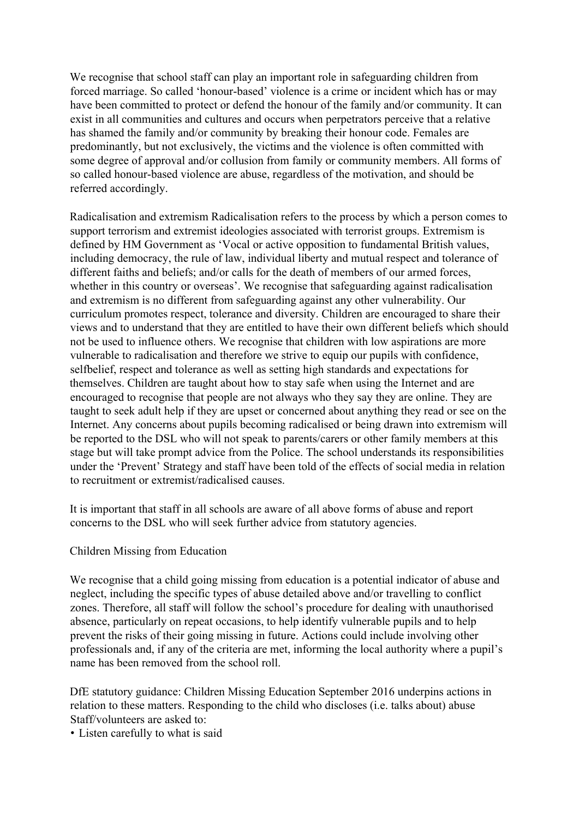We recognise that school staff can play an important role in safeguarding children from forced marriage. So called 'honour-based' violence is a crime or incident which has or may have been committed to protect or defend the honour of the family and/or community. It can exist in all communities and cultures and occurs when perpetrators perceive that a relative has shamed the family and/or community by breaking their honour code. Females are predominantly, but not exclusively, the victims and the violence is often committed with some degree of approval and/or collusion from family or community members. All forms of so called honour-based violence are abuse, regardless of the motivation, and should be referred accordingly.

Radicalisation and extremism Radicalisation refers to the process by which a person comes to support terrorism and extremist ideologies associated with terrorist groups. Extremism is defined by HM Government as 'Vocal or active opposition to fundamental British values, including democracy, the rule of law, individual liberty and mutual respect and tolerance of different faiths and beliefs; and/or calls for the death of members of our armed forces, whether in this country or overseas'. We recognise that safeguarding against radicalisation and extremism is no different from safeguarding against any other vulnerability. Our curriculum promotes respect, tolerance and diversity. Children are encouraged to share their views and to understand that they are entitled to have their own different beliefs which should not be used to influence others. We recognise that children with low aspirations are more vulnerable to radicalisation and therefore we strive to equip our pupils with confidence, selfbelief, respect and tolerance as well as setting high standards and expectations for themselves. Children are taught about how to stay safe when using the Internet and are encouraged to recognise that people are not always who they say they are online. They are taught to seek adult help if they are upset or concerned about anything they read or see on the Internet. Any concerns about pupils becoming radicalised or being drawn into extremism will be reported to the DSL who will not speak to parents/carers or other family members at this stage but will take prompt advice from the Police. The school understands its responsibilities under the 'Prevent' Strategy and staff have been told of the effects of social media in relation to recruitment or extremist/radicalised causes.

It is important that staff in all schools are aware of all above forms of abuse and report concerns to the DSL who will seek further advice from statutory agencies.

### Children Missing from Education

We recognise that a child going missing from education is a potential indicator of abuse and neglect, including the specific types of abuse detailed above and/or travelling to conflict zones. Therefore, all staff will follow the school's procedure for dealing with unauthorised absence, particularly on repeat occasions, to help identify vulnerable pupils and to help prevent the risks of their going missing in future. Actions could include involving other professionals and, if any of the criteria are met, informing the local authority where a pupil's name has been removed from the school roll.

DfE statutory guidance: Children Missing Education September 2016 underpins actions in relation to these matters. Responding to the child who discloses (i.e. talks about) abuse Staff/volunteers are asked to:

• Listen carefully to what is said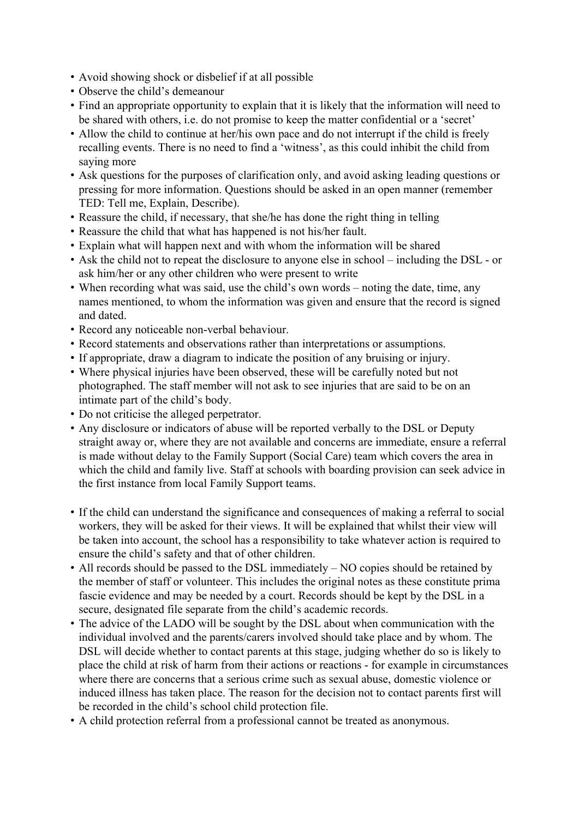- Avoid showing shock or disbelief if at all possible
- Observe the child's demeanour
- Find an appropriate opportunity to explain that it is likely that the information will need to be shared with others, i.e. do not promise to keep the matter confidential or a 'secret'
- Allow the child to continue at her/his own pace and do not interrupt if the child is freely recalling events. There is no need to find a 'witness', as this could inhibit the child from saying more
- Ask questions for the purposes of clarification only, and avoid asking leading questions or pressing for more information. Questions should be asked in an open manner (remember TED: Tell me, Explain, Describe).
- Reassure the child, if necessary, that she/he has done the right thing in telling
- Reassure the child that what has happened is not his/her fault.
- Explain what will happen next and with whom the information will be shared
- Ask the child not to repeat the disclosure to anyone else in school including the DSL or ask him/her or any other children who were present to write
- When recording what was said, use the child's own words noting the date, time, any names mentioned, to whom the information was given and ensure that the record is signed and dated.
- Record any noticeable non-verbal behaviour.
- Record statements and observations rather than interpretations or assumptions.
- If appropriate, draw a diagram to indicate the position of any bruising or injury.
- Where physical injuries have been observed, these will be carefully noted but not photographed. The staff member will not ask to see injuries that are said to be on an intimate part of the child's body.
- Do not criticise the alleged perpetrator.
- Any disclosure or indicators of abuse will be reported verbally to the DSL or Deputy straight away or, where they are not available and concerns are immediate, ensure a referral is made without delay to the Family Support (Social Care) team which covers the area in which the child and family live. Staff at schools with boarding provision can seek advice in the first instance from local Family Support teams.
- If the child can understand the significance and consequences of making a referral to social workers, they will be asked for their views. It will be explained that whilst their view will be taken into account, the school has a responsibility to take whatever action is required to ensure the child's safety and that of other children.
- All records should be passed to the DSL immediately NO copies should be retained by the member of staff or volunteer. This includes the original notes as these constitute prima fascie evidence and may be needed by a court. Records should be kept by the DSL in a secure, designated file separate from the child's academic records.
- The advice of the LADO will be sought by the DSL about when communication with the individual involved and the parents/carers involved should take place and by whom. The DSL will decide whether to contact parents at this stage, judging whether do so is likely to place the child at risk of harm from their actions or reactions - for example in circumstances where there are concerns that a serious crime such as sexual abuse, domestic violence or induced illness has taken place. The reason for the decision not to contact parents first will be recorded in the child's school child protection file.
- A child protection referral from a professional cannot be treated as anonymous.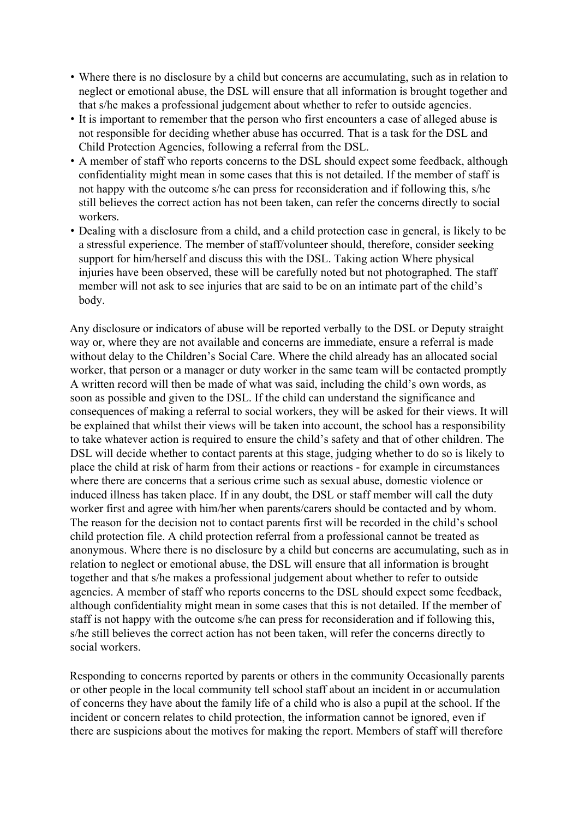- Where there is no disclosure by a child but concerns are accumulating, such as in relation to neglect or emotional abuse, the DSL will ensure that all information is brought together and that s/he makes a professional judgement about whether to refer to outside agencies.
- It is important to remember that the person who first encounters a case of alleged abuse is not responsible for deciding whether abuse has occurred. That is a task for the DSL and Child Protection Agencies, following a referral from the DSL.
- A member of staff who reports concerns to the DSL should expect some feedback, although confidentiality might mean in some cases that this is not detailed. If the member of staff is not happy with the outcome s/he can press for reconsideration and if following this, s/he still believes the correct action has not been taken, can refer the concerns directly to social workers.
- Dealing with a disclosure from a child, and a child protection case in general, is likely to be a stressful experience. The member of staff/volunteer should, therefore, consider seeking support for him/herself and discuss this with the DSL. Taking action Where physical injuries have been observed, these will be carefully noted but not photographed. The staff member will not ask to see injuries that are said to be on an intimate part of the child's body.

Any disclosure or indicators of abuse will be reported verbally to the DSL or Deputy straight way or, where they are not available and concerns are immediate, ensure a referral is made without delay to the Children's Social Care. Where the child already has an allocated social worker, that person or a manager or duty worker in the same team will be contacted promptly A written record will then be made of what was said, including the child's own words, as soon as possible and given to the DSL. If the child can understand the significance and consequences of making a referral to social workers, they will be asked for their views. It will be explained that whilst their views will be taken into account, the school has a responsibility to take whatever action is required to ensure the child's safety and that of other children. The DSL will decide whether to contact parents at this stage, judging whether to do so is likely to place the child at risk of harm from their actions or reactions - for example in circumstances where there are concerns that a serious crime such as sexual abuse, domestic violence or induced illness has taken place. If in any doubt, the DSL or staff member will call the duty worker first and agree with him/her when parents/carers should be contacted and by whom. The reason for the decision not to contact parents first will be recorded in the child's school child protection file. A child protection referral from a professional cannot be treated as anonymous. Where there is no disclosure by a child but concerns are accumulating, such as in relation to neglect or emotional abuse, the DSL will ensure that all information is brought together and that s/he makes a professional judgement about whether to refer to outside agencies. A member of staff who reports concerns to the DSL should expect some feedback, although confidentiality might mean in some cases that this is not detailed. If the member of staff is not happy with the outcome s/he can press for reconsideration and if following this, s/he still believes the correct action has not been taken, will refer the concerns directly to social workers.

Responding to concerns reported by parents or others in the community Occasionally parents or other people in the local community tell school staff about an incident in or accumulation of concerns they have about the family life of a child who is also a pupil at the school. If the incident or concern relates to child protection, the information cannot be ignored, even if there are suspicions about the motives for making the report. Members of staff will therefore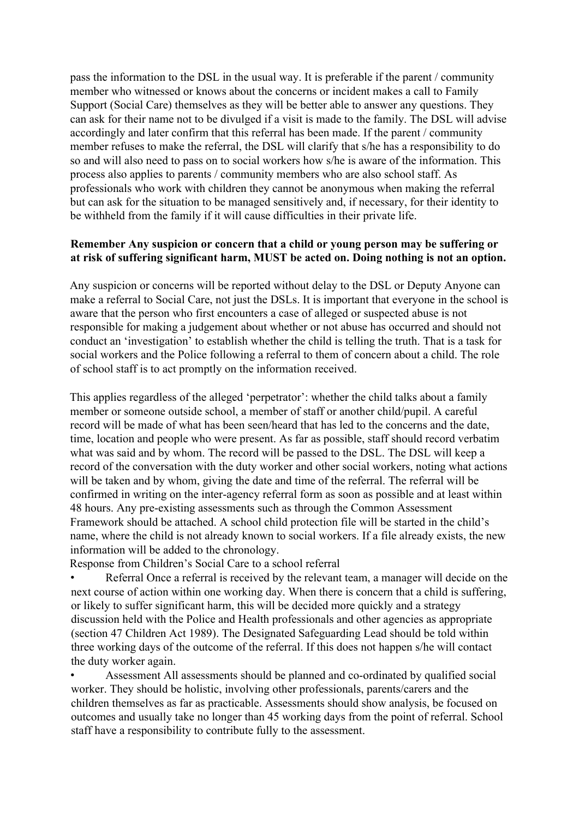pass the information to the DSL in the usual way. It is preferable if the parent / community member who witnessed or knows about the concerns or incident makes a call to Family Support (Social Care) themselves as they will be better able to answer any questions. They can ask for their name not to be divulged if a visit is made to the family. The DSL will advise accordingly and later confirm that this referral has been made. If the parent / community member refuses to make the referral, the DSL will clarify that s/he has a responsibility to do so and will also need to pass on to social workers how s/he is aware of the information. This process also applies to parents / community members who are also school staff. As professionals who work with children they cannot be anonymous when making the referral but can ask for the situation to be managed sensitively and, if necessary, for their identity to be withheld from the family if it will cause difficulties in their private life.

### **Remember Any suspicion or concern that a child or young person may be suffering or at risk of suffering significant harm, MUST be acted on. Doing nothing is not an option.**

Any suspicion or concerns will be reported without delay to the DSL or Deputy Anyone can make a referral to Social Care, not just the DSLs. It is important that everyone in the school is aware that the person who first encounters a case of alleged or suspected abuse is not responsible for making a judgement about whether or not abuse has occurred and should not conduct an 'investigation' to establish whether the child is telling the truth. That is a task for social workers and the Police following a referral to them of concern about a child. The role of school staff is to act promptly on the information received.

This applies regardless of the alleged 'perpetrator': whether the child talks about a family member or someone outside school, a member of staff or another child/pupil. A careful record will be made of what has been seen/heard that has led to the concerns and the date, time, location and people who were present. As far as possible, staff should record verbatim what was said and by whom. The record will be passed to the DSL. The DSL will keep a record of the conversation with the duty worker and other social workers, noting what actions will be taken and by whom, giving the date and time of the referral. The referral will be confirmed in writing on the inter-agency referral form as soon as possible and at least within 48 hours. Any pre-existing assessments such as through the Common Assessment Framework should be attached. A school child protection file will be started in the child's name, where the child is not already known to social workers. If a file already exists, the new information will be added to the chronology.

Response from Children's Social Care to a school referral

Referral Once a referral is received by the relevant team, a manager will decide on the next course of action within one working day. When there is concern that a child is suffering, or likely to suffer significant harm, this will be decided more quickly and a strategy discussion held with the Police and Health professionals and other agencies as appropriate (section 47 Children Act 1989). The Designated Safeguarding Lead should be told within three working days of the outcome of the referral. If this does not happen s/he will contact the duty worker again.

• Assessment All assessments should be planned and co-ordinated by qualified social worker. They should be holistic, involving other professionals, parents/carers and the children themselves as far as practicable. Assessments should show analysis, be focused on outcomes and usually take no longer than 45 working days from the point of referral. School staff have a responsibility to contribute fully to the assessment.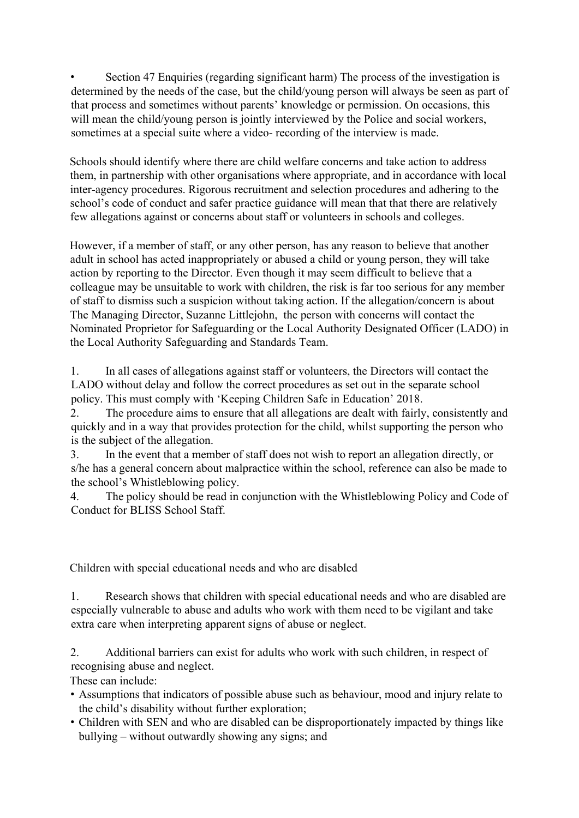• Section 47 Enquiries (regarding significant harm) The process of the investigation is determined by the needs of the case, but the child/young person will always be seen as part of that process and sometimes without parents' knowledge or permission. On occasions, this will mean the child/young person is jointly interviewed by the Police and social workers, sometimes at a special suite where a video- recording of the interview is made.

Schools should identify where there are child welfare concerns and take action to address them, in partnership with other organisations where appropriate, and in accordance with local inter-agency procedures. Rigorous recruitment and selection procedures and adhering to the school's code of conduct and safer practice guidance will mean that that there are relatively few allegations against or concerns about staff or volunteers in schools and colleges.

However, if a member of staff, or any other person, has any reason to believe that another adult in school has acted inappropriately or abused a child or young person, they will take action by reporting to the Director. Even though it may seem difficult to believe that a colleague may be unsuitable to work with children, the risk is far too serious for any member of staff to dismiss such a suspicion without taking action. If the allegation/concern is about The Managing Director, Suzanne Littlejohn, the person with concerns will contact the Nominated Proprietor for Safeguarding or the Local Authority Designated Officer (LADO) in the Local Authority Safeguarding and Standards Team.

1. In all cases of allegations against staff or volunteers, the Directors will contact the LADO without delay and follow the correct procedures as set out in the separate school policy. This must comply with 'Keeping Children Safe in Education' 2018.

2. The procedure aims to ensure that all allegations are dealt with fairly, consistently and quickly and in a way that provides protection for the child, whilst supporting the person who is the subject of the allegation.

3. In the event that a member of staff does not wish to report an allegation directly, or s/he has a general concern about malpractice within the school, reference can also be made to the school's Whistleblowing policy.

4. The policy should be read in conjunction with the Whistleblowing Policy and Code of Conduct for BLISS School Staff.

Children with special educational needs and who are disabled

1. Research shows that children with special educational needs and who are disabled are especially vulnerable to abuse and adults who work with them need to be vigilant and take extra care when interpreting apparent signs of abuse or neglect.

2. Additional barriers can exist for adults who work with such children, in respect of recognising abuse and neglect.

These can include:

- Assumptions that indicators of possible abuse such as behaviour, mood and injury relate to the child's disability without further exploration;
- Children with SEN and who are disabled can be disproportionately impacted by things like bullying – without outwardly showing any signs; and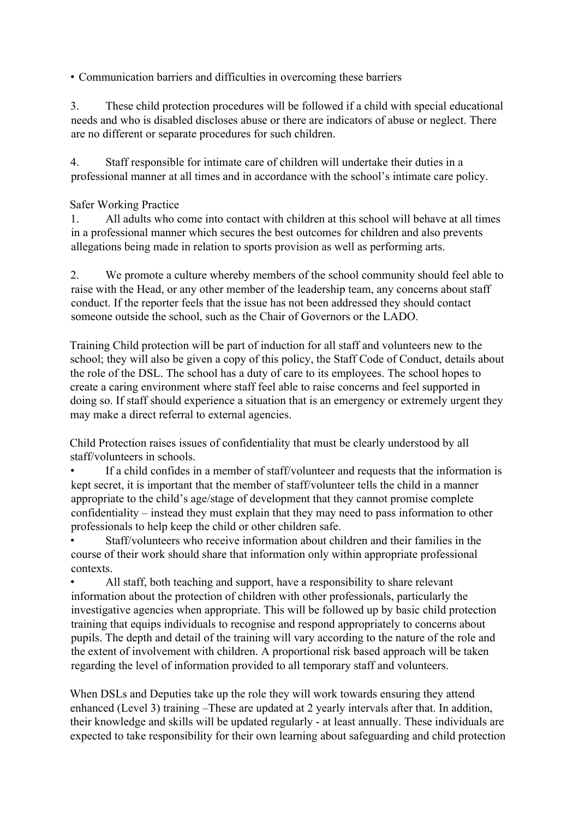• Communication barriers and difficulties in overcoming these barriers

3. These child protection procedures will be followed if a child with special educational needs and who is disabled discloses abuse or there are indicators of abuse or neglect. There are no different or separate procedures for such children.

4. Staff responsible for intimate care of children will undertake their duties in a professional manner at all times and in accordance with the school's intimate care policy.

# Safer Working Practice

1. All adults who come into contact with children at this school will behave at all times in a professional manner which secures the best outcomes for children and also prevents allegations being made in relation to sports provision as well as performing arts.

2. We promote a culture whereby members of the school community should feel able to raise with the Head, or any other member of the leadership team, any concerns about staff conduct. If the reporter feels that the issue has not been addressed they should contact someone outside the school, such as the Chair of Governors or the LADO.

Training Child protection will be part of induction for all staff and volunteers new to the school; they will also be given a copy of this policy, the Staff Code of Conduct, details about the role of the DSL. The school has a duty of care to its employees. The school hopes to create a caring environment where staff feel able to raise concerns and feel supported in doing so. If staff should experience a situation that is an emergency or extremely urgent they may make a direct referral to external agencies.

Child Protection raises issues of confidentiality that must be clearly understood by all staff/volunteers in schools.

• If a child confides in a member of staff/volunteer and requests that the information is kept secret, it is important that the member of staff/volunteer tells the child in a manner appropriate to the child's age/stage of development that they cannot promise complete confidentiality – instead they must explain that they may need to pass information to other professionals to help keep the child or other children safe.

Staff/volunteers who receive information about children and their families in the course of their work should share that information only within appropriate professional contexts.

All staff, both teaching and support, have a responsibility to share relevant information about the protection of children with other professionals, particularly the investigative agencies when appropriate. This will be followed up by basic child protection training that equips individuals to recognise and respond appropriately to concerns about pupils. The depth and detail of the training will vary according to the nature of the role and the extent of involvement with children. A proportional risk based approach will be taken regarding the level of information provided to all temporary staff and volunteers.

When DSLs and Deputies take up the role they will work towards ensuring they attend enhanced (Level 3) training –These are updated at 2 yearly intervals after that. In addition, their knowledge and skills will be updated regularly - at least annually. These individuals are expected to take responsibility for their own learning about safeguarding and child protection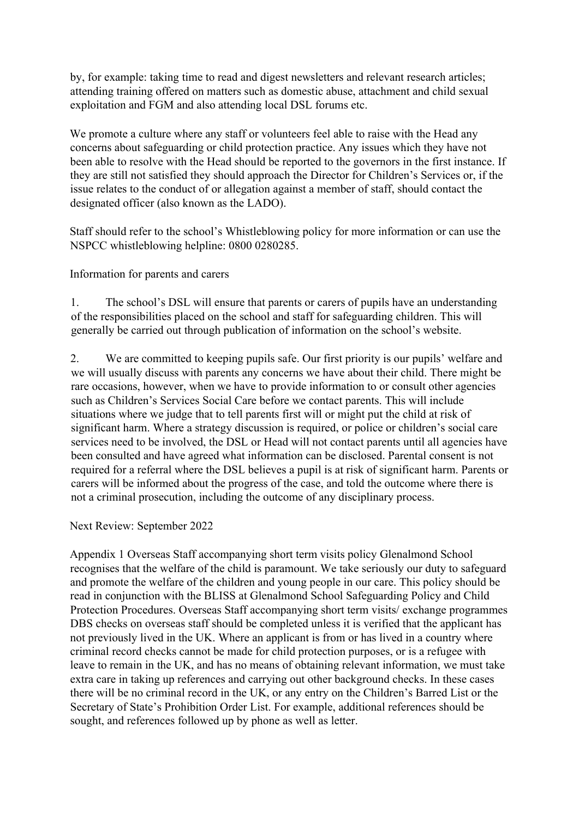by, for example: taking time to read and digest newsletters and relevant research articles; attending training offered on matters such as domestic abuse, attachment and child sexual exploitation and FGM and also attending local DSL forums etc.

We promote a culture where any staff or volunteers feel able to raise with the Head any concerns about safeguarding or child protection practice. Any issues which they have not been able to resolve with the Head should be reported to the governors in the first instance. If they are still not satisfied they should approach the Director for Children's Services or, if the issue relates to the conduct of or allegation against a member of staff, should contact the designated officer (also known as the LADO).

Staff should refer to the school's Whistleblowing policy for more information or can use the NSPCC whistleblowing helpline: 0800 0280285.

Information for parents and carers

1. The school's DSL will ensure that parents or carers of pupils have an understanding of the responsibilities placed on the school and staff for safeguarding children. This will generally be carried out through publication of information on the school's website.

2. We are committed to keeping pupils safe. Our first priority is our pupils' welfare and we will usually discuss with parents any concerns we have about their child. There might be rare occasions, however, when we have to provide information to or consult other agencies such as Children's Services Social Care before we contact parents. This will include situations where we judge that to tell parents first will or might put the child at risk of significant harm. Where a strategy discussion is required, or police or children's social care services need to be involved, the DSL or Head will not contact parents until all agencies have been consulted and have agreed what information can be disclosed. Parental consent is not required for a referral where the DSL believes a pupil is at risk of significant harm. Parents or carers will be informed about the progress of the case, and told the outcome where there is not a criminal prosecution, including the outcome of any disciplinary process.

Next Review: September 2022

Appendix 1 Overseas Staff accompanying short term visits policy Glenalmond School recognises that the welfare of the child is paramount. We take seriously our duty to safeguard and promote the welfare of the children and young people in our care. This policy should be read in conjunction with the BLISS at Glenalmond School Safeguarding Policy and Child Protection Procedures. Overseas Staff accompanying short term visits/ exchange programmes DBS checks on overseas staff should be completed unless it is verified that the applicant has not previously lived in the UK. Where an applicant is from or has lived in a country where criminal record checks cannot be made for child protection purposes, or is a refugee with leave to remain in the UK, and has no means of obtaining relevant information, we must take extra care in taking up references and carrying out other background checks. In these cases there will be no criminal record in the UK, or any entry on the Children's Barred List or the Secretary of State's Prohibition Order List. For example, additional references should be sought, and references followed up by phone as well as letter.